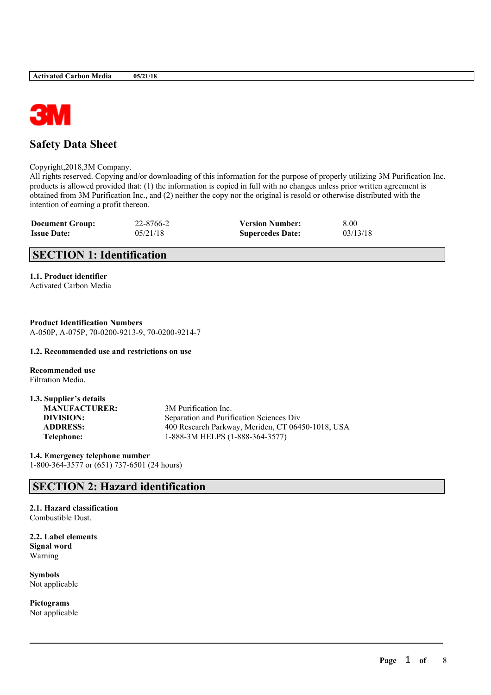

# **Safety Data Sheet**

#### Copyright,2018,3M Company.

All rights reserved. Copying and/or downloading of this information for the purpose of properly utilizing 3M Purification Inc. products is allowed provided that: (1) the information is copied in full with no changes unless prior written agreement is obtained from 3M Purification Inc., and (2) neither the copy nor the original is resold or otherwise distributed with the intention of earning a profit thereon.

| <b>Document Group:</b> | 22-8766-2 | <b>Version Number:</b>  | 8.00     |
|------------------------|-----------|-------------------------|----------|
| <b>Issue Date:</b>     | 05/21/18  | <b>Supercedes Date:</b> | 03/13/18 |

# **SECTION 1: Identification**

### **1.1. Product identifier**

Activated Carbon Media

**Product Identification Numbers** A-050P, A-075P, 70-0200-9213-9, 70-0200-9214-7

#### **1.2. Recommended use and restrictions on use**

**Recommended use** Filtration Media.

| 1.3. Supplier's details |                                                   |
|-------------------------|---------------------------------------------------|
| <b>MANUFACTURER:</b>    | 3M Purification Inc.                              |
| DIVISION:               | Separation and Purification Sciences Div          |
| <b>ADDRESS:</b>         | 400 Research Parkway, Meriden, CT 06450-1018, USA |
| Telephone:              | 1-888-3M HELPS (1-888-364-3577)                   |

 $\mathcal{L}_\mathcal{L} = \mathcal{L}_\mathcal{L} = \mathcal{L}_\mathcal{L} = \mathcal{L}_\mathcal{L} = \mathcal{L}_\mathcal{L} = \mathcal{L}_\mathcal{L} = \mathcal{L}_\mathcal{L} = \mathcal{L}_\mathcal{L} = \mathcal{L}_\mathcal{L} = \mathcal{L}_\mathcal{L} = \mathcal{L}_\mathcal{L} = \mathcal{L}_\mathcal{L} = \mathcal{L}_\mathcal{L} = \mathcal{L}_\mathcal{L} = \mathcal{L}_\mathcal{L} = \mathcal{L}_\mathcal{L} = \mathcal{L}_\mathcal{L}$ 

**1.4. Emergency telephone number** 1-800-364-3577 or (651) 737-6501 (24 hours)

## **SECTION 2: Hazard identification**

#### **2.1. Hazard classification** Combustible Dust.

**2.2. Label elements Signal word** Warning

**Symbols** Not applicable

**Pictograms** Not applicable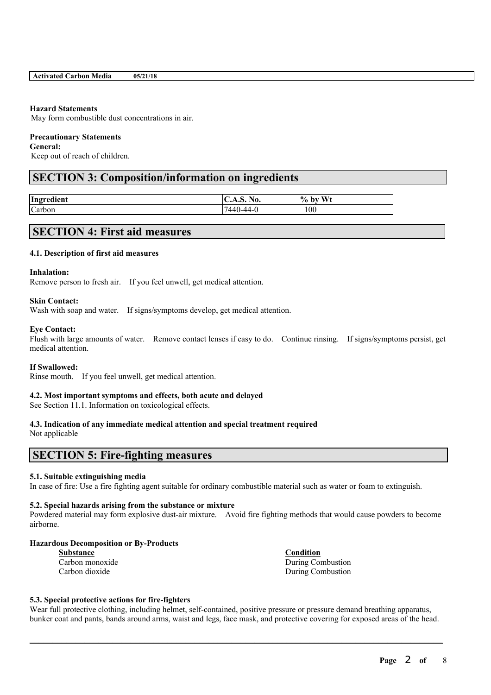### **Hazard Statements**

May form combustible dust concentrations in air.

### **Precautionary Statements**

**General:**

Keep out of reach of children.

# **SECTION 3: Composition/information on ingredients**

| Ingredient | $\mathbf{H}$<br>No.<br>$\ddotsc$<br>3.V.I | W <sub>1</sub><br>$%$ by |
|------------|-------------------------------------------|--------------------------|
| Carbon     | 7440-44-0                                 | 100                      |

# **SECTION 4: First aid measures**

### **4.1. Description of first aid measures**

#### **Inhalation:**

Remove person to fresh air. If you feel unwell, get medical attention.

#### **Skin Contact:**

Wash with soap and water. If signs/symptoms develop, get medical attention.

#### **Eye Contact:**

Flush with large amounts of water. Remove contact lenses if easy to do. Continue rinsing. If signs/symptoms persist, get medical attention.

#### **If Swallowed:**

Rinse mouth. If you feel unwell, get medical attention.

### **4.2. Most important symptoms and effects, both acute and delayed**

See Section 11.1. Information on toxicological effects.

### **4.3. Indication of any immediate medical attention and special treatment required**

Not applicable

### **SECTION 5: Fire-fighting measures**

#### **5.1. Suitable extinguishing media**

In case of fire: Use a fire fighting agent suitable for ordinary combustible material such as water or foam to extinguish.

#### **5.2. Special hazards arising from the substance or mixture**

Powdered material may form explosive dust-air mixture. Avoid fire fighting methods that would cause powders to become airborne.

#### **Hazardous Decomposition or By-Products**

| Substance |                 |
|-----------|-----------------|
|           | Carbon monoxide |
|           | Carbon dioxide  |

**Substance Condition** During Combustion During Combustion

#### **5.3. Special protective actions for fire-fighters**

Wear full protective clothing, including helmet, self-contained, positive pressure or pressure demand breathing apparatus, bunker coat and pants, bands around arms, waist and legs, face mask, and protective covering for exposed areas of the head.

 $\mathcal{L}_\mathcal{L} = \mathcal{L}_\mathcal{L} = \mathcal{L}_\mathcal{L} = \mathcal{L}_\mathcal{L} = \mathcal{L}_\mathcal{L} = \mathcal{L}_\mathcal{L} = \mathcal{L}_\mathcal{L} = \mathcal{L}_\mathcal{L} = \mathcal{L}_\mathcal{L} = \mathcal{L}_\mathcal{L} = \mathcal{L}_\mathcal{L} = \mathcal{L}_\mathcal{L} = \mathcal{L}_\mathcal{L} = \mathcal{L}_\mathcal{L} = \mathcal{L}_\mathcal{L} = \mathcal{L}_\mathcal{L} = \mathcal{L}_\mathcal{L}$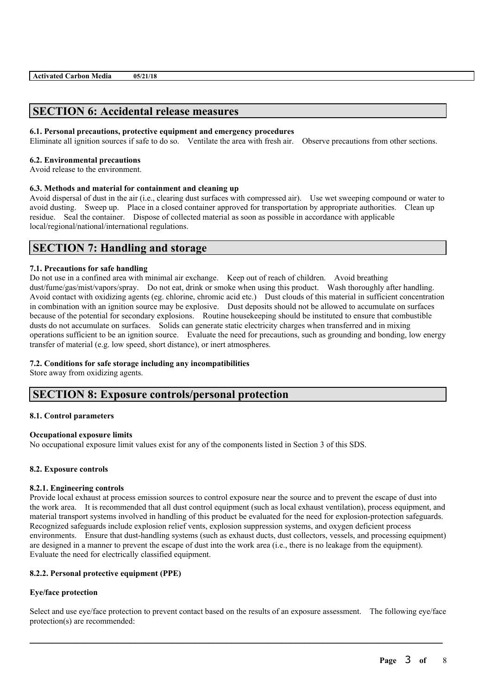### **SECTION 6: Accidental release measures**

#### **6.1. Personal precautions, protective equipment and emergency procedures**

Eliminate all ignition sources if safe to do so. Ventilate the area with fresh air. Observe precautions from other sections.

#### **6.2. Environmental precautions**

Avoid release to the environment.

#### **6.3. Methods and material for containment and cleaning up**

Avoid dispersal of dust in the air (i.e., clearing dust surfaces with compressed air). Use wet sweeping compound or water to avoid dusting. Sweep up. Place in a closed container approved for transportation by appropriate authorities. Clean up residue. Seal the container. Dispose of collected material as soon as possible in accordance with applicable local/regional/national/international regulations.

### **SECTION 7: Handling and storage**

#### **7.1. Precautions for safe handling**

Do not use in a confined area with minimal air exchange. Keep out of reach of children. Avoid breathing dust/fume/gas/mist/vapors/spray. Do not eat, drink or smoke when using this product. Wash thoroughly after handling. Avoid contact with oxidizing agents (eg. chlorine, chromic acid etc.) Dust clouds of this material in sufficient concentration in combination with an ignition source may be explosive. Dust deposits should not be allowed to accumulate on surfaces because of the potential for secondary explosions. Routine housekeeping should be instituted to ensure that combustible dusts do not accumulate on surfaces. Solids can generate static electricity charges when transferred and in mixing operations sufficient to be an ignition source. Evaluate the need for precautions, such as grounding and bonding, low energy transfer of material (e.g. low speed, short distance), or inert atmospheres.

#### **7.2. Conditions for safe storage including any incompatibilities**

Store away from oxidizing agents.

### **SECTION 8: Exposure controls/personal protection**

#### **8.1. Control parameters**

#### **Occupational exposure limits**

No occupational exposure limit values exist for any of the components listed in Section 3 of this SDS.

#### **8.2. Exposure controls**

#### **8.2.1. Engineering controls**

Provide local exhaust at process emission sources to control exposure near the source and to prevent the escape of dust into the work area. It is recommended that all dust control equipment (such as local exhaust ventilation), process equipment, and material transport systems involved in handling of this product be evaluated for the need for explosion-protection safeguards. Recognized safeguards include explosion relief vents, explosion suppression systems, and oxygen deficient process environments. Ensure that dust-handling systems (such as exhaust ducts, dust collectors, vessels, and processing equipment) are designed in a manner to prevent the escape of dust into the work area (i.e., there is no leakage from the equipment). Evaluate the need for electrically classified equipment.

#### **8.2.2. Personal protective equipment (PPE)**

#### **Eye/face protection**

Select and use eve/face protection to prevent contact based on the results of an exposure assessment. The following eve/face protection(s) are recommended:

 $\mathcal{L}_\mathcal{L} = \mathcal{L}_\mathcal{L} = \mathcal{L}_\mathcal{L} = \mathcal{L}_\mathcal{L} = \mathcal{L}_\mathcal{L} = \mathcal{L}_\mathcal{L} = \mathcal{L}_\mathcal{L} = \mathcal{L}_\mathcal{L} = \mathcal{L}_\mathcal{L} = \mathcal{L}_\mathcal{L} = \mathcal{L}_\mathcal{L} = \mathcal{L}_\mathcal{L} = \mathcal{L}_\mathcal{L} = \mathcal{L}_\mathcal{L} = \mathcal{L}_\mathcal{L} = \mathcal{L}_\mathcal{L} = \mathcal{L}_\mathcal{L}$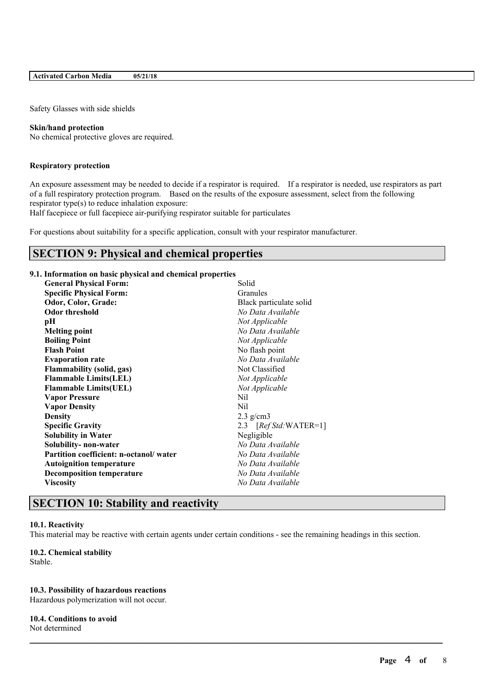#### **Activated Carbon Media 05/21/18**

Safety Glasses with side shields

#### **Skin/hand protection**

No chemical protective gloves are required.

#### **Respiratory protection**

An exposure assessment may be needed to decide if a respirator is required. If a respirator is needed, use respirators as part of a full respiratory protection program. Based on the results of the exposure assessment, select from the following respirator type(s) to reduce inhalation exposure:

Half facepiece or full facepiece air-purifying respirator suitable for particulates

For questions about suitability for a specific application, consult with your respirator manufacturer.

### **SECTION 9: Physical and chemical properties**

#### **9.1. Information on basic physical and chemical properties**

| <b>General Physical Form:</b>          | Solid                   |
|----------------------------------------|-------------------------|
| <b>Specific Physical Form:</b>         | Granules                |
| Odor, Color, Grade:                    | Black particulate solid |
| <b>Odor threshold</b>                  | No Data Available       |
| рH                                     | Not Applicable          |
| <b>Melting point</b>                   | No Data Available       |
| <b>Boiling Point</b>                   | Not Applicable          |
| <b>Flash Point</b>                     | No flash point          |
| <b>Evaporation rate</b>                | No Data Available       |
| <b>Flammability (solid, gas)</b>       | Not Classified          |
| <b>Flammable Limits(LEL)</b>           | Not Applicable          |
| <b>Flammable Limits(UEL)</b>           | Not Applicable          |
| <b>Vapor Pressure</b>                  | Nil                     |
| <b>Vapor Density</b>                   | Nil                     |
| <b>Density</b>                         | $2.3$ g/cm3             |
| <b>Specific Gravity</b>                | 2.3 $[RefStd:WATER=1]$  |
| <b>Solubility in Water</b>             | Negligible              |
| Solubility- non-water                  | No Data Available       |
| Partition coefficient: n-octanol/water | No Data Available       |
| <b>Autoignition temperature</b>        | No Data Available       |
| <b>Decomposition temperature</b>       | No Data Available       |
| <b>Viscosity</b>                       | No Data Available       |
|                                        |                         |

### **SECTION 10: Stability and reactivity**

### **10.1. Reactivity**

This material may be reactive with certain agents under certain conditions - see the remaining headings in this section.

 $\mathcal{L}_\mathcal{L} = \mathcal{L}_\mathcal{L} = \mathcal{L}_\mathcal{L} = \mathcal{L}_\mathcal{L} = \mathcal{L}_\mathcal{L} = \mathcal{L}_\mathcal{L} = \mathcal{L}_\mathcal{L} = \mathcal{L}_\mathcal{L} = \mathcal{L}_\mathcal{L} = \mathcal{L}_\mathcal{L} = \mathcal{L}_\mathcal{L} = \mathcal{L}_\mathcal{L} = \mathcal{L}_\mathcal{L} = \mathcal{L}_\mathcal{L} = \mathcal{L}_\mathcal{L} = \mathcal{L}_\mathcal{L} = \mathcal{L}_\mathcal{L}$ 

#### **10.2. Chemical stability** Stable.

#### **10.3. Possibility of hazardous reactions**

Hazardous polymerization will not occur.

#### **10.4. Conditions to avoid**

Not determined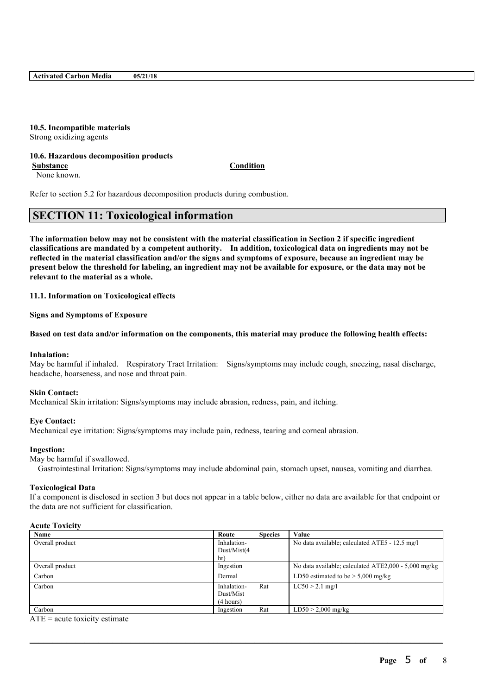# **10.5. Incompatible materials**

Strong oxidizing agents

#### **10.6. Hazardous decomposition products Substance Condition**

None known.

Refer to section 5.2 for hazardous decomposition products during combustion.

# **SECTION 11: Toxicological information**

The information below may not be consistent with the material classification in Section 2 if specific ingredient **classifications are mandated by a competent authority. In addition, toxicological data on ingredients may not be** reflected in the material classification and/or the signs and symptoms of exposure, because an ingredient may be present below the threshold for labeling, an ingredient may not be available for exposure, or the data may not be **relevant to the material as a whole.**

**11.1. Information on Toxicological effects**

**Signs and Symptoms of Exposure**

#### Based on test data and/or information on the components, this material may produce the following health effects:

#### **Inhalation:**

May be harmful if inhaled. Respiratory Tract Irritation: Signs/symptoms may include cough, sneezing, nasal discharge, headache, hoarseness, and nose and throat pain.

#### **Skin Contact:**

Mechanical Skin irritation: Signs/symptoms may include abrasion, redness, pain, and itching.

#### **Eye Contact:**

Mechanical eye irritation: Signs/symptoms may include pain, redness, tearing and corneal abrasion.

#### **Ingestion:**

May be harmful if swallowed.

Gastrointestinal Irritation: Signs/symptoms may include abdominal pain, stomach upset, nausea, vomiting and diarrhea.

#### **Toxicological Data**

If a component is disclosed in section 3 but does not appear in a table below, either no data are available for that endpoint or the data are not sufficient for classification.

#### **Acute Toxicity**

| Route       | <b>Species</b> | Value                                                |
|-------------|----------------|------------------------------------------------------|
| Inhalation- |                | No data available; calculated ATE5 - 12.5 mg/l       |
| Dust/Mist(4 |                |                                                      |
| hr)         |                |                                                      |
| Ingestion   |                | No data available; calculated ATE2,000 - 5,000 mg/kg |
| Dermal      |                | LD50 estimated to be $> 5,000$ mg/kg                 |
| Inhalation- | Rat            | $LC50 > 2.1$ mg/l                                    |
| Dust/Mist   |                |                                                      |
| (4 hours)   |                |                                                      |
| Ingestion   | Rat            | $LD50 > 2,000$ mg/kg                                 |
|             |                |                                                      |

 $\mathcal{L}_\mathcal{L} = \mathcal{L}_\mathcal{L} = \mathcal{L}_\mathcal{L} = \mathcal{L}_\mathcal{L} = \mathcal{L}_\mathcal{L} = \mathcal{L}_\mathcal{L} = \mathcal{L}_\mathcal{L} = \mathcal{L}_\mathcal{L} = \mathcal{L}_\mathcal{L} = \mathcal{L}_\mathcal{L} = \mathcal{L}_\mathcal{L} = \mathcal{L}_\mathcal{L} = \mathcal{L}_\mathcal{L} = \mathcal{L}_\mathcal{L} = \mathcal{L}_\mathcal{L} = \mathcal{L}_\mathcal{L} = \mathcal{L}_\mathcal{L}$ 

 $ATE = acute$  toxicity estimate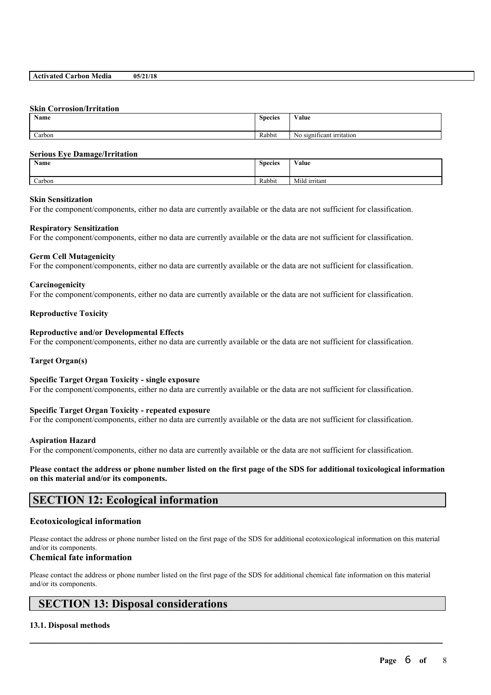#### **Activated Carbon Media 05/21/18**

#### **Skin Corrosion/Irritation**

| Name   | $\sim$<br><b>Species</b> | <b>WY 3</b><br>Value                   |
|--------|--------------------------|----------------------------------------|
|        |                          |                                        |
| Carbon | Rabbit                   | . .<br>No.<br>o significant irritation |

#### **Serious Eye Damage/Irritation**

| Name   | <b>Species</b> | Value              |
|--------|----------------|--------------------|
| Carbon | Rabbit         | .<br>Mild irritant |

#### **Skin Sensitization**

For the component/components, either no data are currently available or the data are not sufficient for classification.

#### **Respiratory Sensitization**

For the component/components, either no data are currently available or the data are not sufficient for classification.

#### **Germ Cell Mutagenicity**

For the component/components, either no data are currently available or the data are not sufficient for classification.

#### **Carcinogenicity**

For the component/components, either no data are currently available or the data are not sufficient for classification.

#### **Reproductive Toxicity**

#### **Reproductive and/or Developmental Effects**

For the component/components, either no data are currently available or the data are not sufficient for classification.

#### **Target Organ(s)**

#### **Specific Target Organ Toxicity - single exposure**

For the component/components, either no data are currently available or the data are not sufficient for classification.

#### **Specific Target Organ Toxicity - repeated exposure**

For the component/components, either no data are currently available or the data are not sufficient for classification.

#### **Aspiration Hazard**

For the component/components, either no data are currently available or the data are not sufficient for classification.

Please contact the address or phone number listed on the first page of the SDS for additional toxicological information **on this material and/or its components.**

### **SECTION 12: Ecological information**

#### **Ecotoxicological information**

Please contact the address or phone number listed on the first page of the SDS for additional ecotoxicological information on this material and/or its components.

#### **Chemical fate information**

Please contact the address or phone number listed on the first page of the SDS for additional chemical fate information on this material and/or its components.

 $\mathcal{L}_\mathcal{L} = \mathcal{L}_\mathcal{L} = \mathcal{L}_\mathcal{L} = \mathcal{L}_\mathcal{L} = \mathcal{L}_\mathcal{L} = \mathcal{L}_\mathcal{L} = \mathcal{L}_\mathcal{L} = \mathcal{L}_\mathcal{L} = \mathcal{L}_\mathcal{L} = \mathcal{L}_\mathcal{L} = \mathcal{L}_\mathcal{L} = \mathcal{L}_\mathcal{L} = \mathcal{L}_\mathcal{L} = \mathcal{L}_\mathcal{L} = \mathcal{L}_\mathcal{L} = \mathcal{L}_\mathcal{L} = \mathcal{L}_\mathcal{L}$ 

### **SECTION 13: Disposal considerations**

#### **13.1. Disposal methods**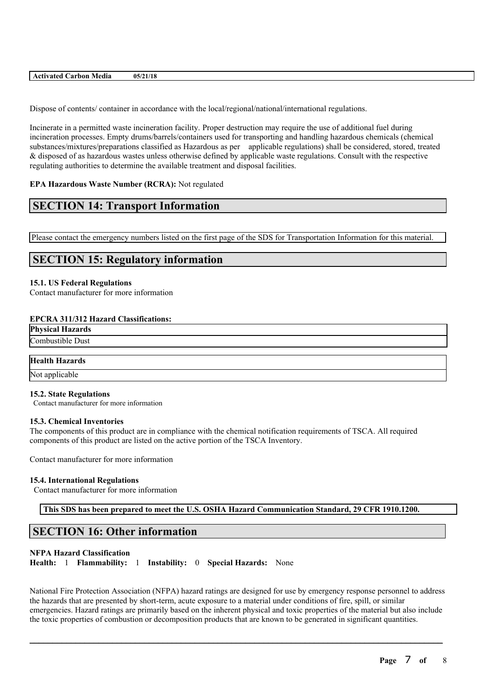| 1/18<br>$-0.5$<br>Media<br>arbon<br>-41<br>. |
|----------------------------------------------|
|----------------------------------------------|

Dispose of contents/ container in accordance with the local/regional/national/international regulations.

Incinerate in a permitted waste incineration facility. Proper destruction may require the use of additional fuel during incineration processes. Empty drums/barrels/containers used for transporting and handling hazardous chemicals (chemical substances/mixtures/preparations classified as Hazardous as per applicable regulations) shall be considered, stored, treated & disposed of as hazardous wastes unless otherwise defined by applicable waste regulations. Consult with the respective regulating authorities to determine the available treatment and disposal facilities.

#### **EPA Hazardous Waste Number (RCRA):** Not regulated

### **SECTION 14: Transport Information**

Please contact the emergency numbers listed on the first page of the SDS for Transportation Information for this material.

### **SECTION 15: Regulatory information**

#### **15.1. US Federal Regulations**

Contact manufacturer for more information

#### **EPCRA 311/312 Hazard Classifications:**

**Physical Hazards** Combustible Dust

# **Health Hazards**

Not applicable

#### **15.2. State Regulations**

Contact manufacturer for more information

#### **15.3. Chemical Inventories**

The components of this product are in compliance with the chemical notification requirements of TSCA. All required components of this product are listed on the active portion of the TSCA Inventory.

Contact manufacturer for more information

#### **15.4. International Regulations**

Contact manufacturer for more information

**This SDS has been prepared to meet the U.S. OSHA Hazard Communication Standard, 29 CFR 1910.1200.**

### **SECTION 16: Other information**

#### **NFPA Hazard Classification**

**Health:** 1 **Flammability:** 1 **Instability:** 0 **Special Hazards:** None

National Fire Protection Association (NFPA) hazard ratings are designed for use by emergency response personnel to address the hazards that are presented by short-term, acute exposure to a material under conditions of fire, spill, or similar emergencies. Hazard ratings are primarily based on the inherent physical and toxic properties of the material but also include the toxic properties of combustion or decomposition products that are known to be generated in significant quantities.

 $\mathcal{L}_\mathcal{L} = \mathcal{L}_\mathcal{L} = \mathcal{L}_\mathcal{L} = \mathcal{L}_\mathcal{L} = \mathcal{L}_\mathcal{L} = \mathcal{L}_\mathcal{L} = \mathcal{L}_\mathcal{L} = \mathcal{L}_\mathcal{L} = \mathcal{L}_\mathcal{L} = \mathcal{L}_\mathcal{L} = \mathcal{L}_\mathcal{L} = \mathcal{L}_\mathcal{L} = \mathcal{L}_\mathcal{L} = \mathcal{L}_\mathcal{L} = \mathcal{L}_\mathcal{L} = \mathcal{L}_\mathcal{L} = \mathcal{L}_\mathcal{L}$